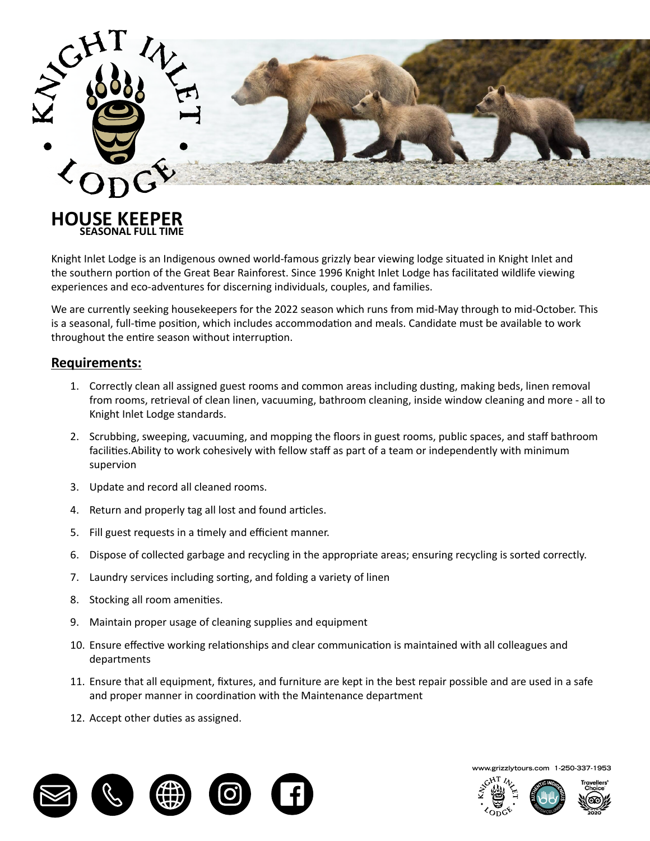

Knight Inlet Lodge is an Indigenous owned world-famous grizzly bear viewing lodge situated in Knight Inlet and the southern portion of the Great Bear Rainforest. Since 1996 Knight Inlet Lodge has facilitated wildlife viewing experiences and eco-adventures for discerning individuals, couples, and families.

We are currently seeking housekeepers for the 2022 season which runs from mid-May through to mid-October. This is a seasonal, full-time position, which includes accommodation and meals. Candidate must be available to work throughout the entire season without interruption.

### **Requirements:**

 **SEASONAL FULL TIME**

- 1. Correctly clean all assigned guest rooms and common areas including dusting, making beds, linen removal from rooms, retrieval of clean linen, vacuuming, bathroom cleaning, inside window cleaning and more - all to Knight Inlet Lodge is an Indigenous owned world-famous grizzly bear viewing lodge situated in Knight Inlet and Knight Inlet Lodge standards.
- We are currently seeking a **breakfast chef** for the 2022 season which runs from mid-May through to mid-2. Scrubbing, sweeping, vacuuming, and mopping the floors in guest rooms, public spaces, and staff bathroom facilities.Ability to work cohesively with fellow staff as part of a team or independently with minimum supervion
- $T_{\rm F}$  secasonal, which is a seasonal, which includes accommodation and meals. Candidate must be available to available to  $T_{\rm F}$ 3. Update and record all cleaned rooms.
- 4. Return and properly tag all lost and found articles.
- 5. Fill guest requests in a timely and efficient manner.
- $\mathbf{b}^{\text{max}}$  fit (this position will spend 100% of time standing);  $\mathbf{b}^{\text{max}}$ 6. Dispose of collected garbage and recycling in the appropriate areas; ensuring recycling is sorted correctly.
- 7. Laundry services including sorting, and folding a variety of linen  $\mathbf{p}$  and the interaction our guests and courter; and courter; manner; manner; manner; manner; manner; manner; manner; manner; manner; manner; manner; manner; manner; manner; manner; manner; manner; manner; manner; man
- 8. Stocking all room amenities.
- 9. Maintain proper usage of cleaning supplies and equipment
- be experienced in working in a commercial kitchen environment (minimum 5-years); 10. Ensure effective working relationships and clear communication is maintained with all colleagues and departments
- 11. Ensure that all equipment, fixtures, and furniture are kept in the best repair possible and are used in a safe  $\frac{1}{2}$ and proper manner in coordination with the Maintenance department
- 12. Accept other duties as assigned.



**www.grizzlytours.com 1-250-337-1953**